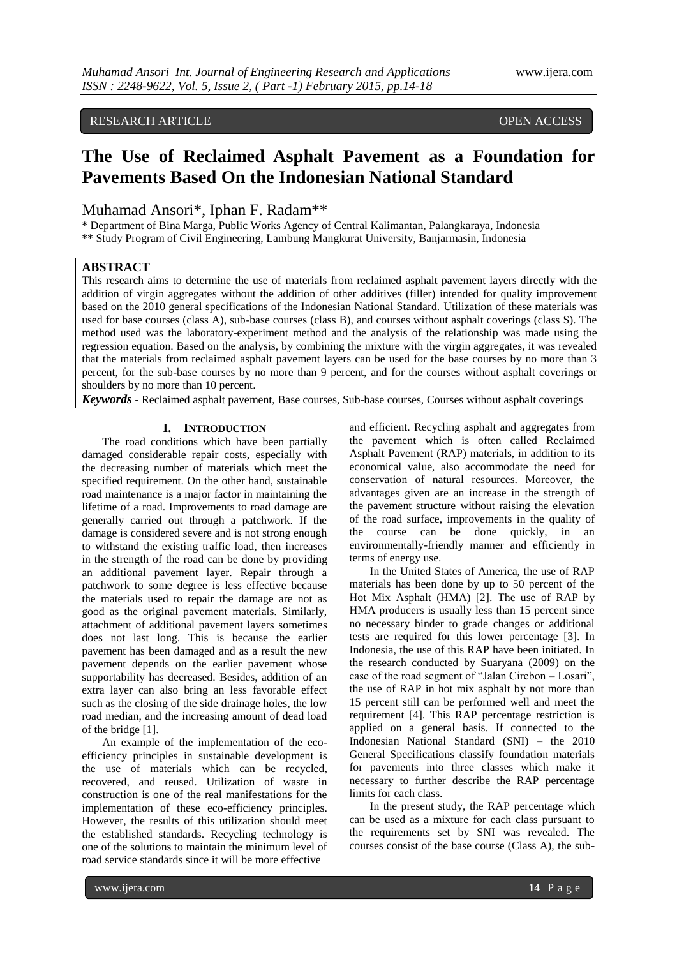# RESEARCH ARTICLE **ARTICLE** And the set of the set of the set of the set of the set of the set of the set of the set of the set of the set of the set of the set of the set of the set of the set of the set of the set of the

# **The Use of Reclaimed Asphalt Pavement as a Foundation for Pavements Based On the Indonesian National Standard**

# Muhamad Ansori\*, Iphan F. Radam\*\*

\* Department of Bina Marga, Public Works Agency of Central Kalimantan, Palangkaraya, Indonesia \*\* Study Program of Civil Engineering, Lambung Mangkurat University, Banjarmasin, Indonesia

## **ABSTRACT**

This research aims to determine the use of materials from reclaimed asphalt pavement layers directly with the addition of virgin aggregates without the addition of other additives (filler) intended for quality improvement based on the 2010 general specifications of the Indonesian National Standard. Utilization of these materials was used for base courses (class A), sub-base courses (class B), and courses without asphalt coverings (class S). The method used was the laboratory-experiment method and the analysis of the relationship was made using the regression equation. Based on the analysis, by combining the mixture with the virgin aggregates, it was revealed that the materials from reclaimed asphalt pavement layers can be used for the base courses by no more than 3 percent, for the sub-base courses by no more than 9 percent, and for the courses without asphalt coverings or shoulders by no more than 10 percent.

*Keywords* **-** Reclaimed asphalt pavement, Base courses, Sub-base courses, Courses without asphalt coverings

# **I. INTRODUCTION**

The road conditions which have been partially damaged considerable repair costs, especially with the decreasing number of materials which meet the specified requirement. On the other hand, sustainable road maintenance is a major factor in maintaining the lifetime of a road. Improvements to road damage are generally carried out through a patchwork. If the damage is considered severe and is not strong enough to withstand the existing traffic load, then increases in the strength of the road can be done by providing an additional pavement layer. Repair through a patchwork to some degree is less effective because the materials used to repair the damage are not as good as the original pavement materials. Similarly, attachment of additional pavement layers sometimes does not last long. This is because the earlier pavement has been damaged and as a result the new pavement depends on the earlier pavement whose supportability has decreased. Besides, addition of an extra layer can also bring an less favorable effect such as the closing of the side drainage holes, the low road median, and the increasing amount of dead load of the bridge [1].

An example of the implementation of the ecoefficiency principles in sustainable development is the use of materials which can be recycled, recovered, and reused. Utilization of waste in construction is one of the real manifestations for the implementation of these eco-efficiency principles. However, the results of this utilization should meet the established standards. Recycling technology is one of the solutions to maintain the minimum level of road service standards since it will be more effective

and efficient. Recycling asphalt and aggregates from the pavement which is often called Reclaimed Asphalt Pavement (RAP) materials, in addition to its economical value, also accommodate the need for conservation of natural resources. Moreover, the advantages given are an increase in the strength of the pavement structure without raising the elevation of the road surface, improvements in the quality of the course can be done quickly, in an environmentally-friendly manner and efficiently in terms of energy use.

In the United States of America, the use of RAP materials has been done by up to 50 percent of the Hot Mix Asphalt (HMA) [2]. The use of RAP by HMA producers is usually less than 15 percent since no necessary binder to grade changes or additional tests are required for this lower percentage [3]. In Indonesia, the use of this RAP have been initiated. In the research conducted by Suaryana (2009) on the case of the road segment of "Jalan Cirebon – Losari", the use of RAP in hot mix asphalt by not more than 15 percent still can be performed well and meet the requirement [4]. This RAP percentage restriction is applied on a general basis. If connected to the Indonesian National Standard (SNI) – the 2010 General Specifications classify foundation materials for pavements into three classes which make it necessary to further describe the RAP percentage limits for each class.

In the present study, the RAP percentage which can be used as a mixture for each class pursuant to the requirements set by SNI was revealed. The courses consist of the base course (Class A), the sub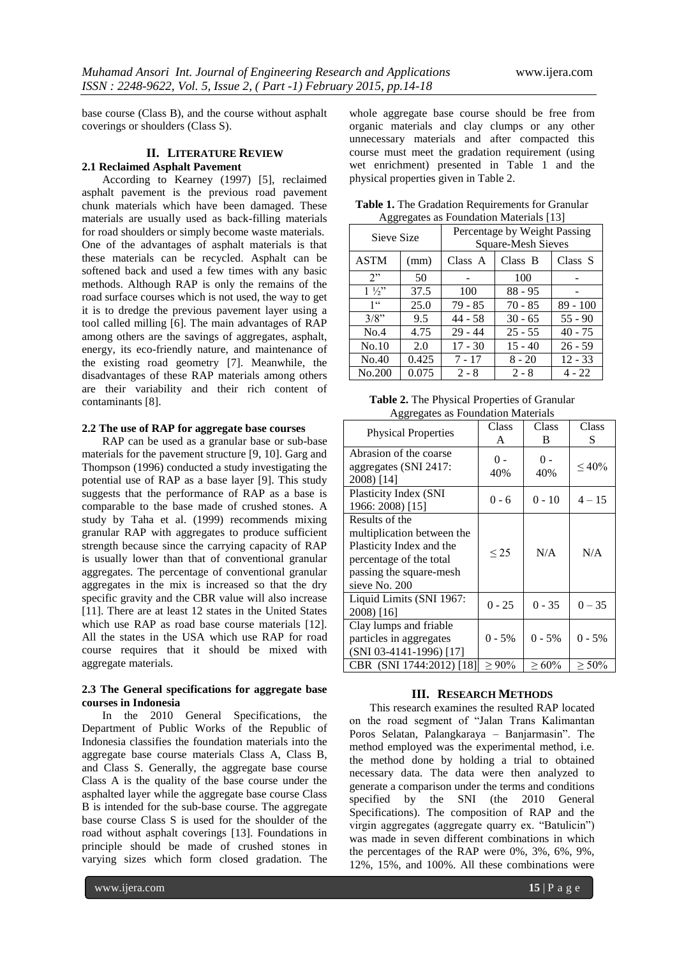base course (Class B), and the course without asphalt coverings or shoulders (Class S).

### **II. LITERATURE REVIEW 2.1 Reclaimed Asphalt Pavement**

According to Kearney (1997) [5], reclaimed asphalt pavement is the previous road pavement chunk materials which have been damaged. These materials are usually used as back-filling materials for road shoulders or simply become waste materials. One of the advantages of asphalt materials is that these materials can be recycled. Asphalt can be softened back and used a few times with any basic methods. Although RAP is only the remains of the road surface courses which is not used, the way to get it is to dredge the previous pavement layer using a tool called milling [6]. The main advantages of RAP among others are the savings of aggregates, asphalt, energy, its eco-friendly nature, and maintenance of the existing road geometry [7]. Meanwhile, the disadvantages of these RAP materials among others are their variability and their rich content of contaminants [8].

### **2.2 The use of RAP for aggregate base courses**

RAP can be used as a granular base or sub-base materials for the pavement structure [9, 10]. Garg and Thompson (1996) conducted a study investigating the potential use of RAP as a base layer [9]. This study suggests that the performance of RAP as a base is comparable to the base made of crushed stones. A study by Taha et al. (1999) recommends mixing granular RAP with aggregates to produce sufficient strength because since the carrying capacity of RAP is usually lower than that of conventional granular aggregates. The percentage of conventional granular aggregates in the mix is increased so that the dry specific gravity and the CBR value will also increase [11]. There are at least 12 states in the United States which use RAP as road base course materials [12]. All the states in the USA which use RAP for road course requires that it should be mixed with aggregate materials.

#### **2.3 The General specifications for aggregate base courses in Indonesia**

In the 2010 General Specifications, the Department of Public Works of the Republic of Indonesia classifies the foundation materials into the aggregate base course materials Class A, Class B, and Class S. Generally, the aggregate base course Class A is the quality of the base course under the asphalted layer while the aggregate base course Class B is intended for the sub-base course. The aggregate base course Class S is used for the shoulder of the road without asphalt coverings [13]. Foundations in principle should be made of crushed stones in varying sizes which form closed gradation. The

whole aggregate base course should be free from organic materials and clay clumps or any other unnecessary materials and after compacted this course must meet the gradation requirement (using wet enrichment) presented in Table 1 and the physical properties given in Table 2.

| <b>Table 1.</b> The Gradation Requirements for Granular |  |
|---------------------------------------------------------|--|
| Aggregates as Foundation Materials [13]                 |  |

| Sieve Size      |       | Percentage by Weight Passing<br>Square-Mesh Sieves |           |            |
|-----------------|-------|----------------------------------------------------|-----------|------------|
| <b>ASTM</b>     | (mm)  | Class A                                            | Class B   | Class S    |
| 2"              | 50    |                                                    | 100       |            |
| $1\frac{1}{2}$  | 37.5  | 100                                                | $88 - 95$ |            |
| 1 <sup>cc</sup> | 25.0  | 79 - 85                                            | $70 - 85$ | $89 - 100$ |
| 3/8"            | 9.5   | $44 - 58$                                          | $30 - 65$ | $55 - 90$  |
| No.4            | 4.75  | $29 - 44$                                          | $25 - 55$ | $40 - 75$  |
| No.10           | 2.0   | $17 - 30$                                          | $15 - 40$ | $26 - 59$  |
| No.40           | 0.425 | $7 - 17$                                           | $8 - 20$  | $12 - 33$  |
| No.200          | 0.075 | $2 - 8$                                            | $2 - 8$   | 4 - 22     |

**Table 2.** The Physical Properties of Granular Aggregates as Foundation Materials

| <b>Physical Properties</b>                                                                                                                      | Class<br>A      | Class<br>B   | Class<br>S  |
|-------------------------------------------------------------------------------------------------------------------------------------------------|-----------------|--------------|-------------|
| Abrasion of the coarse<br>aggregates (SNI 2417:<br>2008) [14]                                                                                   | $^{0}$ -<br>40% | $0 -$<br>40% | $~10\%$     |
| Plasticity Index (SNI<br>1966: 2008) [15]                                                                                                       | $0 - 6$         | $0 - 10$     | $4 - 15$    |
| Results of the<br>multiplication between the<br>Plasticity Index and the<br>percentage of the total<br>passing the square-mesh<br>sieve No. 200 | $\leq$ 25       | N/A          | N/A         |
| Liquid Limits (SNI 1967:<br>2008) [16]                                                                                                          | $0 - 25$        | $0 - 35$     | $0 - 35$    |
| Clay lumps and friable<br>particles in aggregates<br>(SNI 03-4141-1996) [17]                                                                    | $0 - 5\%$       | $0 - 5\%$    | $0 - 5%$    |
| CBR (SNI 1744:2012) [18]                                                                                                                        | $\geq 90\%$     | $\geq 60\%$  | $\geq 50\%$ |

#### **III. RESEARCH METHODS**

This research examines the resulted RAP located on the road segment of "Jalan Trans Kalimantan Poros Selatan, Palangkaraya – Banjarmasin". The method employed was the experimental method, i.e. the method done by holding a trial to obtained necessary data. The data were then analyzed to generate a comparison under the terms and conditions specified by the SNI (the 2010 General Specifications). The composition of RAP and the virgin aggregates (aggregate quarry ex. "Batulicin") was made in seven different combinations in which the percentages of the RAP were 0%, 3%, 6%, 9%, 12%, 15%, and 100%. All these combinations were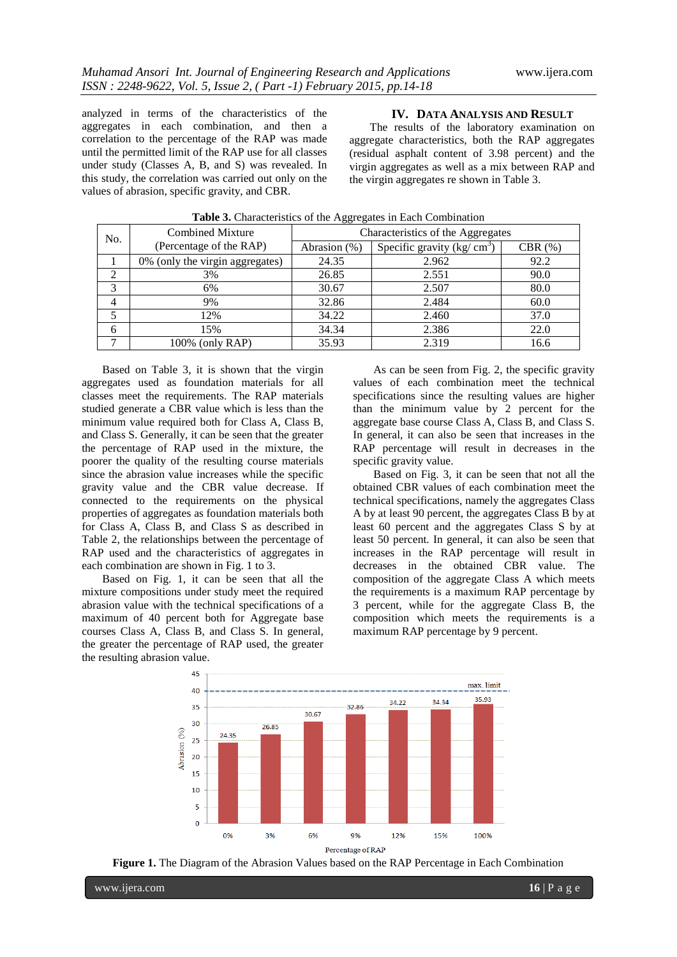analyzed in terms of the characteristics of the aggregates in each combination, and then a correlation to the percentage of the RAP was made until the permitted limit of the RAP use for all classes under study (Classes A, B, and S) was revealed. In this study, the correlation was carried out only on the values of abrasion, specific gravity, and CBR.

#### **IV. DATA ANALYSIS AND RESULT**

The results of the laboratory examination on aggregate characteristics, both the RAP aggregates (residual asphalt content of 3.98 percent) and the virgin aggregates as well as a mix between RAP and the virgin aggregates re shown in Table 3.

| No. | <b>Combined Mixture</b><br>(Percentage of the RAP) | Characteristics of the Aggregates |                             |        |
|-----|----------------------------------------------------|-----------------------------------|-----------------------------|--------|
|     |                                                    | Abrasion (%)                      | Specific gravity $(kg/cm3)$ | CBR(%) |
|     | 0% (only the virgin aggregates)                    | 24.35                             | 2.962                       | 92.2   |
| ∍   | 3%                                                 | 26.85                             | 2.551                       | 90.0   |
| 3   | 6%                                                 | 30.67                             | 2.507                       | 80.0   |
| 4   | 9%                                                 | 32.86                             | 2.484                       | 60.0   |
|     | 12%                                                | 34.22                             | 2.460                       | 37.0   |
| 6   | 15%                                                | 34.34                             | 2.386                       | 22.0   |
|     | 100% (only RAP)                                    | 35.93                             | 2.319                       | 16.6   |

**Table 3.** Characteristics of the Aggregates in Each Combination

Based on Table 3, it is shown that the virgin aggregates used as foundation materials for all classes meet the requirements. The RAP materials studied generate a CBR value which is less than the minimum value required both for Class A, Class B, and Class S. Generally, it can be seen that the greater the percentage of RAP used in the mixture, the poorer the quality of the resulting course materials since the abrasion value increases while the specific gravity value and the CBR value decrease. If connected to the requirements on the physical properties of aggregates as foundation materials both for Class A, Class B, and Class S as described in Table 2, the relationships between the percentage of RAP used and the characteristics of aggregates in each combination are shown in Fig. 1 to 3.

Based on Fig. 1, it can be seen that all the mixture compositions under study meet the required abrasion value with the technical specifications of a maximum of 40 percent both for Aggregate base courses Class A, Class B, and Class S. In general, the greater the percentage of RAP used, the greater the resulting abrasion value.

As can be seen from Fig. 2, the specific gravity values of each combination meet the technical specifications since the resulting values are higher than the minimum value by 2 percent for the aggregate base course Class A, Class B, and Class S. In general, it can also be seen that increases in the RAP percentage will result in decreases in the specific gravity value.

Based on Fig. 3, it can be seen that not all the obtained CBR values of each combination meet the technical specifications, namely the aggregates Class A by at least 90 percent, the aggregates Class B by at least 60 percent and the aggregates Class S by at least 50 percent. In general, it can also be seen that increases in the RAP percentage will result in decreases in the obtained CBR value. The composition of the aggregate Class A which meets the requirements is a maximum RAP percentage by 3 percent, while for the aggregate Class B, the composition which meets the requirements is a maximum RAP percentage by 9 percent.



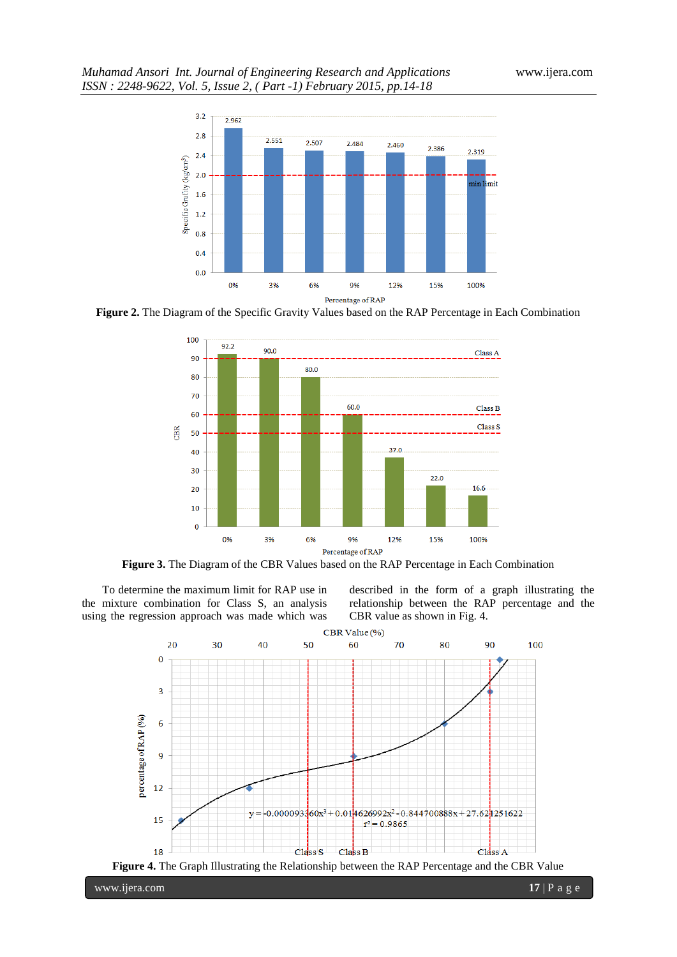# *Muhamad Ansori Int. Journal of Engineering Research and Applications* www.ijera.com *ISSN : 2248-9622, Vol. 5, Issue 2, ( Part -1) February 2015, pp.14-18*



**Figure 2.** The Diagram of the Specific Gravity Values based on the RAP Percentage in Each Combination



**Figure 3.** The Diagram of the CBR Values based on the RAP Percentage in Each Combination

To determine the maximum limit for RAP use in the mixture combination for Class S, an analysis using the regression approach was made which was described in the form of a graph illustrating the relationship between the RAP percentage and the CBR value as shown in Fig. 4.





www.ijera.com **17** | P a g e